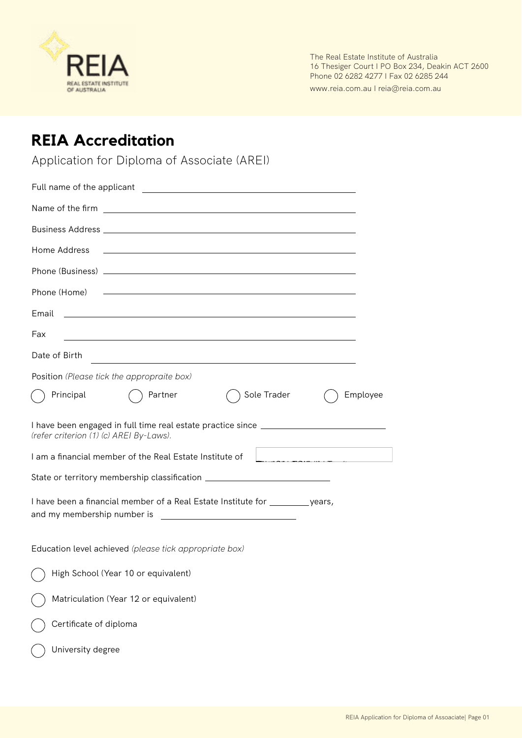

The Real Estate Institute of Australia 16 Thesiger Court I PO Box 234, Deakin ACT 2600 Phone 02 6282 4277 I Fax 02 6285 244

www.reia.com.au I reia@reia.com.au

## **REIA Accreditation**

Application for Diploma of Associate (AREI)

| Name of the firm entries and the state of the firm of the state of the state of the state of the state of the state of the state of the state of the state of the state of the state of the state of the state of the state of |  |  |  |
|--------------------------------------------------------------------------------------------------------------------------------------------------------------------------------------------------------------------------------|--|--|--|
|                                                                                                                                                                                                                                |  |  |  |
| Home Address                                                                                                                                                                                                                   |  |  |  |
|                                                                                                                                                                                                                                |  |  |  |
| Phone (Home) 2008 - 2009 - 2009 - 2010 - 2010 - 2010 - 2010 - 2010 - 2010 - 2010 - 2010 - 2010 - 2010 - 2010 -                                                                                                                 |  |  |  |
| Email<br><u> 1989 - Johann John Stone, markin film fan de ferske fan de ferske fan de ferske fan de ferske fan de ferske</u>                                                                                                   |  |  |  |
| Fax<br><u> 1989 - Johann Stoff, amerikansk politiker (d. 1989)</u>                                                                                                                                                             |  |  |  |
| Date of Birth                                                                                                                                                                                                                  |  |  |  |
| Position (Please tick the appropraite box)                                                                                                                                                                                     |  |  |  |
| Sole Trader<br>Employee<br>Principal<br>Partner                                                                                                                                                                                |  |  |  |
| I have been engaged in full time real estate practice since _____________________<br>(refer criterion (1) (c) AREI By-Laws).                                                                                                   |  |  |  |
| I am a financial member of the Real Estate Institute of<br><u> 1989 - Jan Barbara Barat, manala</u>                                                                                                                            |  |  |  |
| State or territory membership classification ___________________________________                                                                                                                                               |  |  |  |
| I have been a financial member of a Real Estate Institute for __________ years,                                                                                                                                                |  |  |  |
| Education level achieved (please tick appropriate box)                                                                                                                                                                         |  |  |  |
| High School (Year 10 or equivalent)                                                                                                                                                                                            |  |  |  |
| Matriculation (Year 12 or equivalent)                                                                                                                                                                                          |  |  |  |
| Certificate of diploma                                                                                                                                                                                                         |  |  |  |
| University degree                                                                                                                                                                                                              |  |  |  |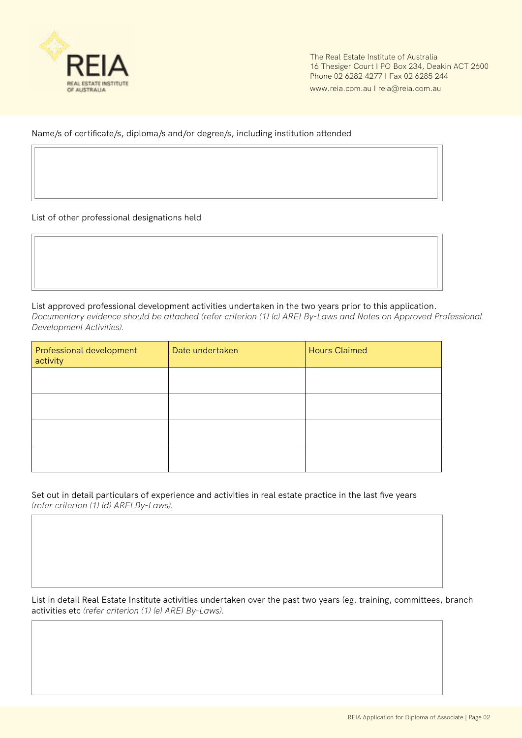

The Real Estate Institute of Australia 16 Thesiger Court I PO Box 234, Deakin ACT 2600 Phone 02 6282 4277 I Fax 02 6285 244

www.reia.com.au I reia@reia.com.au

Name/s of certificate/s, diploma/s and/or degree/s, including institution attended

List of other professional designations held

List approved professional development activities undertaken in the two years prior to this application. *Documentary evidence should be attached (refer criterion (1) (c) AREI By-Laws and Notes on Approved Professional Development Activities).*

| Professional development<br>activity | Date undertaken | <b>Hours Claimed</b> |
|--------------------------------------|-----------------|----------------------|
|                                      |                 |                      |
|                                      |                 |                      |
|                                      |                 |                      |
|                                      |                 |                      |

Set out in detail particulars of experience and activities in real estate practice in the last five years *(refer criterion (1) (d) AREI By-Laws).*

List in detail Real Estate Institute activities undertaken over the past two years (eg. training, committees, branch activities etc *(refer criterion (1) (e) AREI By-Laws).*